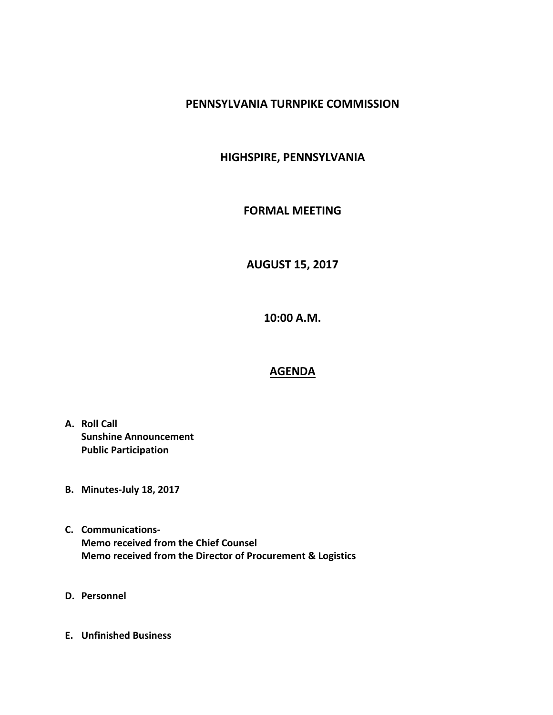### **PENNSYLVANIA TURNPIKE COMMISSION**

## **HIGHSPIRE, PENNSYLVANIA**

#### **FORMAL MEETING**

# **AUGUST 15, 2017**

**10:00 A.M.**

#### **AGENDA**

- **A. Roll Call Sunshine Announcement Public Participation**
- **B. Minutes-July 18, 2017**
- **C. Communications-Memo received from the Chief Counsel Memo received from the Director of Procurement & Logistics**
- **D. Personnel**
- **E. Unfinished Business**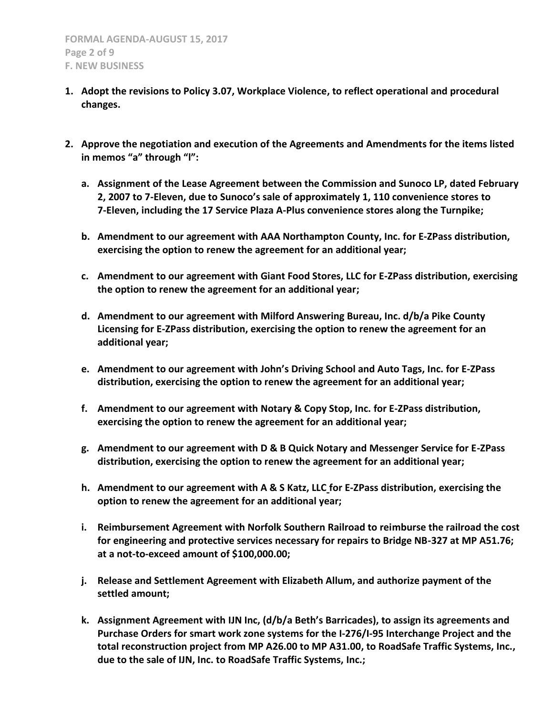- **1. Adopt the revisions to Policy 3.07, Workplace Violence, to reflect operational and procedural changes.**
- **2. Approve the negotiation and execution of the Agreements and Amendments for the items listed in memos "a" through "l":**
	- **a. Assignment of the Lease Agreement between the Commission and Sunoco LP, dated February 2, 2007 to 7-Eleven, due to Sunoco's sale of approximately 1, 110 convenience stores to 7-Eleven, including the 17 Service Plaza A-Plus convenience stores along the Turnpike;**
	- **b. Amendment to our agreement with AAA Northampton County, Inc. for E-ZPass distribution, exercising the option to renew the agreement for an additional year;**
	- **c. Amendment to our agreement with Giant Food Stores, LLC for E-ZPass distribution, exercising the option to renew the agreement for an additional year;**
	- **d. Amendment to our agreement with Milford Answering Bureau, Inc. d/b/a Pike County Licensing for E-ZPass distribution, exercising the option to renew the agreement for an additional year;**
	- **e. Amendment to our agreement with John's Driving School and Auto Tags, Inc. for E-ZPass distribution, exercising the option to renew the agreement for an additional year;**
	- **f. Amendment to our agreement with Notary & Copy Stop, Inc. for E-ZPass distribution, exercising the option to renew the agreement for an additional year;**
	- **g. Amendment to our agreement with D & B Quick Notary and Messenger Service for E-ZPass distribution, exercising the option to renew the agreement for an additional year;**
	- **h. Amendment to our agreement with A & S Katz, LLC for E-ZPass distribution, exercising the option to renew the agreement for an additional year;**
	- **i. Reimbursement Agreement with Norfolk Southern Railroad to reimburse the railroad the cost for engineering and protective services necessary for repairs to Bridge NB-327 at MP A51.76; at a not-to-exceed amount of \$100,000.00;**
	- **j. Release and Settlement Agreement with Elizabeth Allum, and authorize payment of the settled amount;**
	- **k. Assignment Agreement with IJN Inc, (d/b/a Beth's Barricades), to assign its agreements and Purchase Orders for smart work zone systems for the I-276/I-95 Interchange Project and the total reconstruction project from MP A26.00 to MP A31.00, to RoadSafe Traffic Systems, Inc., due to the sale of IJN, Inc. to RoadSafe Traffic Systems, Inc.;**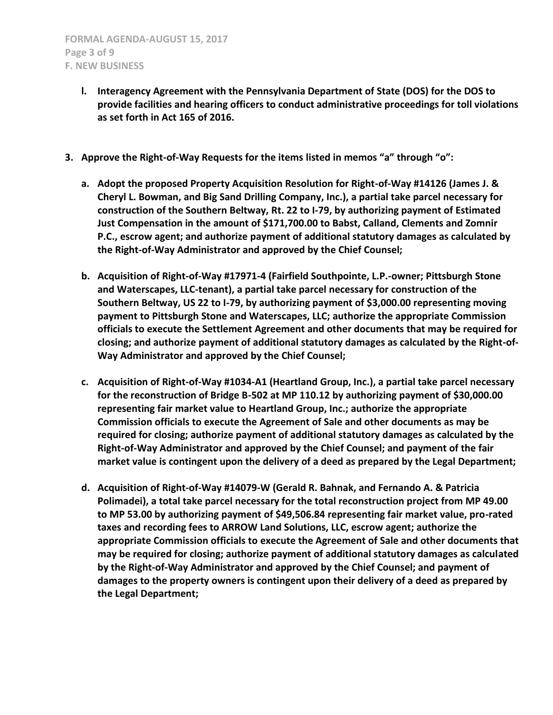- **l. Interagency Agreement with the Pennsylvania Department of State (DOS) for the DOS to provide facilities and hearing officers to conduct administrative proceedings for toll violations as set forth in Act 165 of 2016.**
- **3. Approve the Right-of-Way Requests for the items listed in memos "a" through "o":**
	- **a. Adopt the proposed Property Acquisition Resolution for Right-of-Way #14126 (James J. & Cheryl L. Bowman, and Big Sand Drilling Company, Inc.), a partial take parcel necessary for construction of the Southern Beltway, Rt. 22 to I-79, by authorizing payment of Estimated Just Compensation in the amount of \$171,700.00 to Babst, Calland, Clements and Zomnir P.C., escrow agent; and authorize payment of additional statutory damages as calculated by the Right-of-Way Administrator and approved by the Chief Counsel;**
	- **b. Acquisition of Right-of-Way #17971-4 (Fairfield Southpointe, L.P.-owner; Pittsburgh Stone and Waterscapes, LLC-tenant), a partial take parcel necessary for construction of the Southern Beltway, US 22 to I-79, by authorizing payment of \$3,000.00 representing moving payment to Pittsburgh Stone and Waterscapes, LLC; authorize the appropriate Commission officials to execute the Settlement Agreement and other documents that may be required for closing; and authorize payment of additional statutory damages as calculated by the Right-of-Way Administrator and approved by the Chief Counsel;**
	- **c. Acquisition of Right-of-Way #1034-A1 (Heartland Group, Inc.), a partial take parcel necessary for the reconstruction of Bridge B-502 at MP 110.12 by authorizing payment of \$30,000.00 representing fair market value to Heartland Group, Inc.; authorize the appropriate Commission officials to execute the Agreement of Sale and other documents as may be required for closing; authorize payment of additional statutory damages as calculated by the Right-of-Way Administrator and approved by the Chief Counsel; and payment of the fair market value is contingent upon the delivery of a deed as prepared by the Legal Department;**
	- **d. Acquisition of Right-of-Way #14079-W (Gerald R. Bahnak, and Fernando A. & Patricia Polimadei), a total take parcel necessary for the total reconstruction project from MP 49.00 to MP 53.00 by authorizing payment of \$49,506.84 representing fair market value, pro-rated taxes and recording fees to ARROW Land Solutions, LLC, escrow agent; authorize the appropriate Commission officials to execute the Agreement of Sale and other documents that may be required for closing; authorize payment of additional statutory damages as calculated by the Right-of-Way Administrator and approved by the Chief Counsel; and payment of damages to the property owners is contingent upon their delivery of a deed as prepared by the Legal Department;**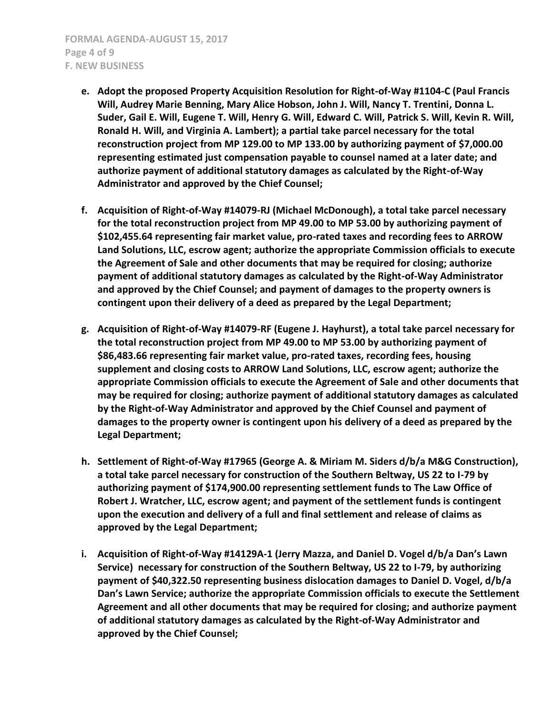- **e. Adopt the proposed Property Acquisition Resolution for Right-of-Way #1104-C (Paul Francis Will, Audrey Marie Benning, Mary Alice Hobson, John J. Will, Nancy T. Trentini, Donna L. Suder, Gail E. Will, Eugene T. Will, Henry G. Will, Edward C. Will, Patrick S. Will, Kevin R. Will, Ronald H. Will, and Virginia A. Lambert); a partial take parcel necessary for the total reconstruction project from MP 129.00 to MP 133.00 by authorizing payment of \$7,000.00 representing estimated just compensation payable to counsel named at a later date; and authorize payment of additional statutory damages as calculated by the Right-of-Way Administrator and approved by the Chief Counsel;**
- **f. Acquisition of Right-of-Way #14079-RJ (Michael McDonough), a total take parcel necessary for the total reconstruction project from MP 49.00 to MP 53.00 by authorizing payment of \$102,455.64 representing fair market value, pro-rated taxes and recording fees to ARROW Land Solutions, LLC, escrow agent; authorize the appropriate Commission officials to execute the Agreement of Sale and other documents that may be required for closing; authorize payment of additional statutory damages as calculated by the Right-of-Way Administrator and approved by the Chief Counsel; and payment of damages to the property owners is contingent upon their delivery of a deed as prepared by the Legal Department;**
- **g. Acquisition of Right-of-Way #14079-RF (Eugene J. Hayhurst), a total take parcel necessary for the total reconstruction project from MP 49.00 to MP 53.00 by authorizing payment of \$86,483.66 representing fair market value, pro-rated taxes, recording fees, housing supplement and closing costs to ARROW Land Solutions, LLC, escrow agent; authorize the appropriate Commission officials to execute the Agreement of Sale and other documents that may be required for closing; authorize payment of additional statutory damages as calculated by the Right-of-Way Administrator and approved by the Chief Counsel and payment of damages to the property owner is contingent upon his delivery of a deed as prepared by the Legal Department;**
- **h. Settlement of Right-of-Way #17965 (George A. & Miriam M. Siders d/b/a M&G Construction), a total take parcel necessary for construction of the Southern Beltway, US 22 to I-79 by authorizing payment of \$174,900.00 representing settlement funds to The Law Office of Robert J. Wratcher, LLC, escrow agent; and payment of the settlement funds is contingent upon the execution and delivery of a full and final settlement and release of claims as approved by the Legal Department;**
- **i. Acquisition of Right-of-Way #14129A-1 (Jerry Mazza, and Daniel D. Vogel d/b/a Dan's Lawn Service) necessary for construction of the Southern Beltway, US 22 to I-79, by authorizing payment of \$40,322.50 representing business dislocation damages to Daniel D. Vogel, d/b/a Dan's Lawn Service; authorize the appropriate Commission officials to execute the Settlement Agreement and all other documents that may be required for closing; and authorize payment of additional statutory damages as calculated by the Right-of-Way Administrator and approved by the Chief Counsel;**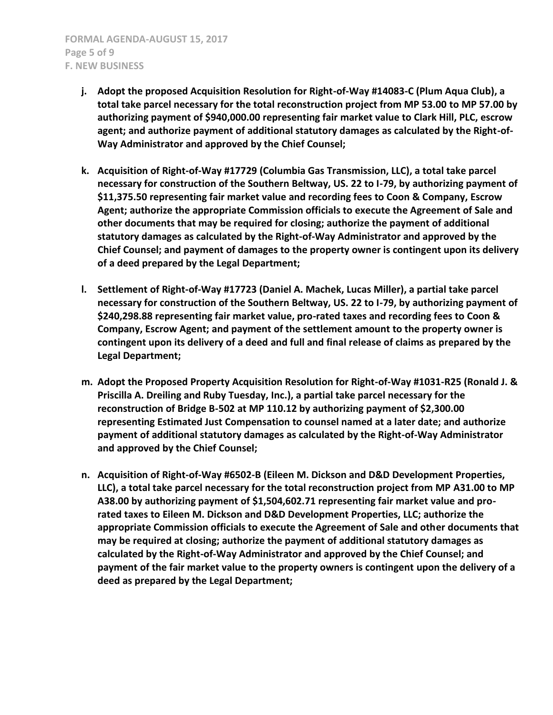- **j. Adopt the proposed Acquisition Resolution for Right-of-Way #14083-C (Plum Aqua Club), a total take parcel necessary for the total reconstruction project from MP 53.00 to MP 57.00 by authorizing payment of \$940,000.00 representing fair market value to Clark Hill, PLC, escrow agent; and authorize payment of additional statutory damages as calculated by the Right-of-Way Administrator and approved by the Chief Counsel;**
- **k. Acquisition of Right-of-Way #17729 (Columbia Gas Transmission, LLC), a total take parcel necessary for construction of the Southern Beltway, US. 22 to I-79, by authorizing payment of \$11,375.50 representing fair market value and recording fees to Coon & Company, Escrow Agent; authorize the appropriate Commission officials to execute the Agreement of Sale and other documents that may be required for closing; authorize the payment of additional statutory damages as calculated by the Right-of-Way Administrator and approved by the Chief Counsel; and payment of damages to the property owner is contingent upon its delivery of a deed prepared by the Legal Department;**
- **l. Settlement of Right-of-Way #17723 (Daniel A. Machek, Lucas Miller), a partial take parcel necessary for construction of the Southern Beltway, US. 22 to I-79, by authorizing payment of \$240,298.88 representing fair market value, pro-rated taxes and recording fees to Coon & Company, Escrow Agent; and payment of the settlement amount to the property owner is contingent upon its delivery of a deed and full and final release of claims as prepared by the Legal Department;**
- **m. Adopt the Proposed Property Acquisition Resolution for Right-of-Way #1031-R25 (Ronald J. & Priscilla A. Dreiling and Ruby Tuesday, Inc.), a partial take parcel necessary for the reconstruction of Bridge B-502 at MP 110.12 by authorizing payment of \$2,300.00 representing Estimated Just Compensation to counsel named at a later date; and authorize payment of additional statutory damages as calculated by the Right-of-Way Administrator and approved by the Chief Counsel;**
- **n. Acquisition of Right-of-Way #6502-B (Eileen M. Dickson and D&D Development Properties, LLC), a total take parcel necessary for the total reconstruction project from MP A31.00 to MP A38.00 by authorizing payment of \$1,504,602.71 representing fair market value and prorated taxes to Eileen M. Dickson and D&D Development Properties, LLC; authorize the appropriate Commission officials to execute the Agreement of Sale and other documents that may be required at closing; authorize the payment of additional statutory damages as calculated by the Right-of-Way Administrator and approved by the Chief Counsel; and payment of the fair market value to the property owners is contingent upon the delivery of a deed as prepared by the Legal Department;**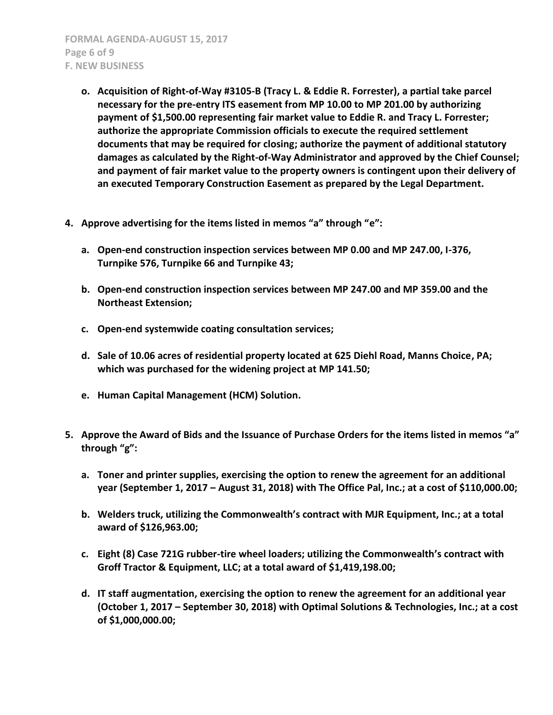**FORMAL AGENDA-AUGUST 15, 2017 Page 6 of 9 F. NEW BUSINESS**

- **o. Acquisition of Right-of-Way #3105-B (Tracy L. & Eddie R. Forrester), a partial take parcel necessary for the pre-entry ITS easement from MP 10.00 to MP 201.00 by authorizing payment of \$1,500.00 representing fair market value to Eddie R. and Tracy L. Forrester; authorize the appropriate Commission officials to execute the required settlement documents that may be required for closing; authorize the payment of additional statutory damages as calculated by the Right-of-Way Administrator and approved by the Chief Counsel; and payment of fair market value to the property owners is contingent upon their delivery of an executed Temporary Construction Easement as prepared by the Legal Department.**
- **4. Approve advertising for the items listed in memos "a" through "e":**
	- **a. Open-end construction inspection services between MP 0.00 and MP 247.00, I-376, Turnpike 576, Turnpike 66 and Turnpike 43;**
	- **b. Open-end construction inspection services between MP 247.00 and MP 359.00 and the Northeast Extension;**
	- **c. Open-end systemwide coating consultation services;**
	- **d. Sale of 10.06 acres of residential property located at 625 Diehl Road, Manns Choice, PA; which was purchased for the widening project at MP 141.50;**
	- **e. Human Capital Management (HCM) Solution.**
- **5. Approve the Award of Bids and the Issuance of Purchase Orders for the items listed in memos "a" through "g":**
	- **a. Toner and printer supplies, exercising the option to renew the agreement for an additional year (September 1, 2017 – August 31, 2018) with The Office Pal, Inc.; at a cost of \$110,000.00;**
	- **b. Welders truck, utilizing the Commonwealth's contract with MJR Equipment, Inc.; at a total award of \$126,963.00;**
	- **c. Eight (8) Case 721G rubber-tire wheel loaders; utilizing the Commonwealth's contract with Groff Tractor & Equipment, LLC; at a total award of \$1,419,198.00;**
	- **d. IT staff augmentation, exercising the option to renew the agreement for an additional year (October 1, 2017 – September 30, 2018) with Optimal Solutions & Technologies, Inc.; at a cost of \$1,000,000.00;**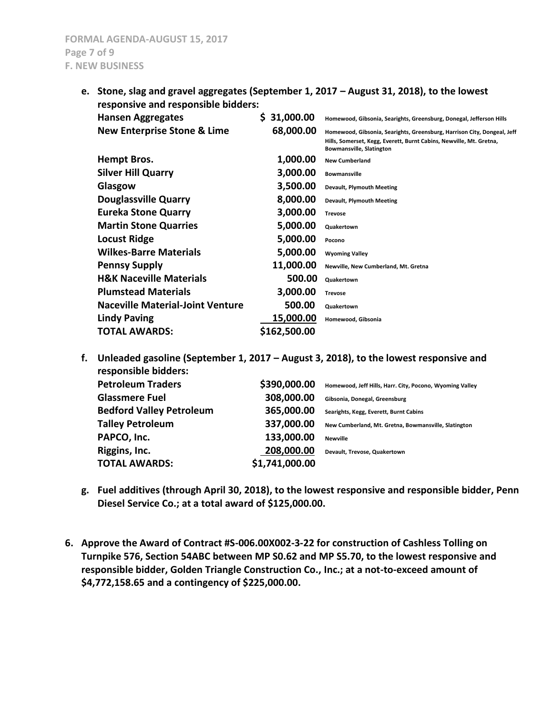**e. Stone, slag and gravel aggregates (September 1, 2017 – August 31, 2018), to the lowest responsive and responsible bidders:**

| <b>Hansen Aggregates</b>                | \$31,000.00  | Homewood, Gibsonia, Searights, Greensburg, Donegal, Jefferson Hills                                                                                                               |
|-----------------------------------------|--------------|-----------------------------------------------------------------------------------------------------------------------------------------------------------------------------------|
| <b>New Enterprise Stone &amp; Lime</b>  | 68,000.00    | Homewood, Gibsonia, Searights, Greensburg, Harrison City, Dongeal, Jeff<br>Hills, Somerset, Kegg, Everett, Burnt Cabins, Newville, Mt. Gretna,<br><b>Bowmansville, Slatington</b> |
| Hempt Bros.                             | 1,000.00     | <b>New Cumberland</b>                                                                                                                                                             |
| <b>Silver Hill Quarry</b>               | 3,000.00     | <b>Bowmansville</b>                                                                                                                                                               |
| Glasgow                                 | 3,500.00     | <b>Devault, Plymouth Meeting</b>                                                                                                                                                  |
| <b>Douglassville Quarry</b>             | 8,000.00     | Devault, Plymouth Meeting                                                                                                                                                         |
| <b>Eureka Stone Quarry</b>              | 3,000.00     | <b>Trevose</b>                                                                                                                                                                    |
| <b>Martin Stone Quarries</b>            | 5,000.00     | <b>Quakertown</b>                                                                                                                                                                 |
| <b>Locust Ridge</b>                     | 5,000.00     | Pocono                                                                                                                                                                            |
| <b>Wilkes-Barre Materials</b>           | 5,000.00     | <b>Wyoming Valley</b>                                                                                                                                                             |
| <b>Pennsy Supply</b>                    | 11,000.00    | Newville, New Cumberland, Mt. Gretna                                                                                                                                              |
| <b>H&amp;K Naceville Materials</b>      | 500.00       | <b>Quakertown</b>                                                                                                                                                                 |
| <b>Plumstead Materials</b>              | 3,000.00     | <b>Trevose</b>                                                                                                                                                                    |
| <b>Naceville Material-Joint Venture</b> | 500.00       | <b>Quakertown</b>                                                                                                                                                                 |
| <b>Lindy Paving</b>                     | 15,000.00    | Homewood, Gibsonia                                                                                                                                                                |
| <b>TOTAL AWARDS:</b>                    | \$162,500.00 |                                                                                                                                                                                   |

| f. | Unleaded gasoline (September 1, 2017 – August 3, 2018), to the lowest responsive and |                |                                                          |
|----|--------------------------------------------------------------------------------------|----------------|----------------------------------------------------------|
|    | <b>Petroleum Traders</b>                                                             | \$390,000.00   | Homewood, Jeff Hills, Harr. City, Pocono, Wyoming Valley |
|    | <b>Glassmere Fuel</b>                                                                | 308,000.00     | Gibsonia, Donegal, Greensburg                            |
|    | <b>Bedford Valley Petroleum</b>                                                      | 365,000.00     | Searights, Kegg, Everett, Burnt Cabins                   |
|    | <b>Talley Petroleum</b>                                                              | 337,000.00     | New Cumberland, Mt. Gretna, Bowmansville, Slatington     |
|    | PAPCO, Inc.                                                                          | 133,000.00     | <b>Newville</b>                                          |
|    | Riggins, Inc.                                                                        | 208,000.00     | Devault, Trevose, Quakertown                             |
|    | <b>TOTAL AWARDS:</b>                                                                 | \$1,741,000.00 |                                                          |
|    |                                                                                      |                |                                                          |

- **g. Fuel additives (through April 30, 2018), to the lowest responsive and responsible bidder, Penn Diesel Service Co.; at a total award of \$125,000.00.**
- **6. Approve the Award of Contract #S-006.00X002-3-22 for construction of Cashless Tolling on Turnpike 576, Section 54ABC between MP S0.62 and MP S5.70, to the lowest responsive and responsible bidder, Golden Triangle Construction Co., Inc.; at a not-to-exceed amount of \$4,772,158.65 and a contingency of \$225,000.00.**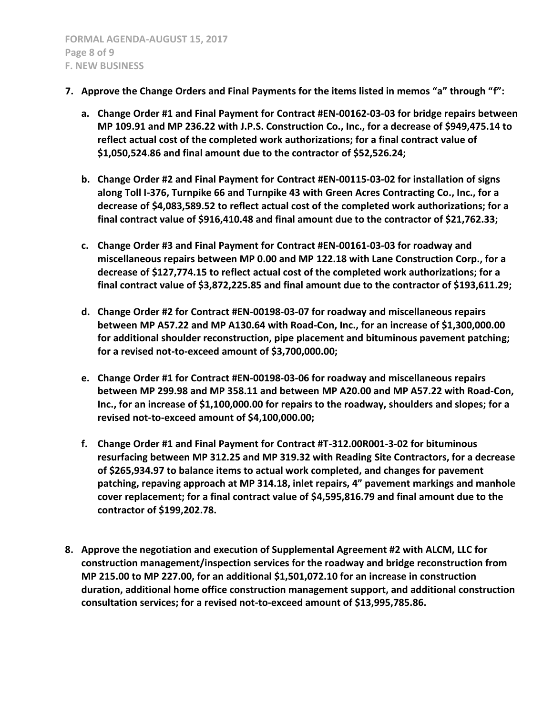- **7. Approve the Change Orders and Final Payments for the items listed in memos "a" through "f":**
	- **a. Change Order #1 and Final Payment for Contract #EN-00162-03-03 for bridge repairs between MP 109.91 and MP 236.22 with J.P.S. Construction Co., Inc., for a decrease of \$949,475.14 to reflect actual cost of the completed work authorizations; for a final contract value of \$1,050,524.86 and final amount due to the contractor of \$52,526.24;**
	- **b. Change Order #2 and Final Payment for Contract #EN-00115-03-02 for installation of signs along Toll I-376, Turnpike 66 and Turnpike 43 with Green Acres Contracting Co., Inc., for a decrease of \$4,083,589.52 to reflect actual cost of the completed work authorizations; for a final contract value of \$916,410.48 and final amount due to the contractor of \$21,762.33;**
	- **c. Change Order #3 and Final Payment for Contract #EN-00161-03-03 for roadway and miscellaneous repairs between MP 0.00 and MP 122.18 with Lane Construction Corp., for a decrease of \$127,774.15 to reflect actual cost of the completed work authorizations; for a final contract value of \$3,872,225.85 and final amount due to the contractor of \$193,611.29;**
	- **d. Change Order #2 for Contract #EN-00198-03-07 for roadway and miscellaneous repairs between MP A57.22 and MP A130.64 with Road-Con, Inc., for an increase of \$1,300,000.00 for additional shoulder reconstruction, pipe placement and bituminous pavement patching; for a revised not-to-exceed amount of \$3,700,000.00;**
	- **e. Change Order #1 for Contract #EN-00198-03-06 for roadway and miscellaneous repairs between MP 299.98 and MP 358.11 and between MP A20.00 and MP A57.22 with Road-Con, Inc., for an increase of \$1,100,000.00 for repairs to the roadway, shoulders and slopes; for a revised not-to-exceed amount of \$4,100,000.00;**
	- **f. Change Order #1 and Final Payment for Contract #T-312.00R001-3-02 for bituminous resurfacing between MP 312.25 and MP 319.32 with Reading Site Contractors, for a decrease of \$265,934.97 to balance items to actual work completed, and changes for pavement patching, repaving approach at MP 314.18, inlet repairs, 4" pavement markings and manhole cover replacement; for a final contract value of \$4,595,816.79 and final amount due to the contractor of \$199,202.78.**
- **8. Approve the negotiation and execution of Supplemental Agreement #2 with ALCM, LLC for construction management/inspection services for the roadway and bridge reconstruction from MP 215.00 to MP 227.00, for an additional \$1,501,072.10 for an increase in construction duration, additional home office construction management support, and additional construction consultation services; for a revised not-to-exceed amount of \$13,995,785.86.**